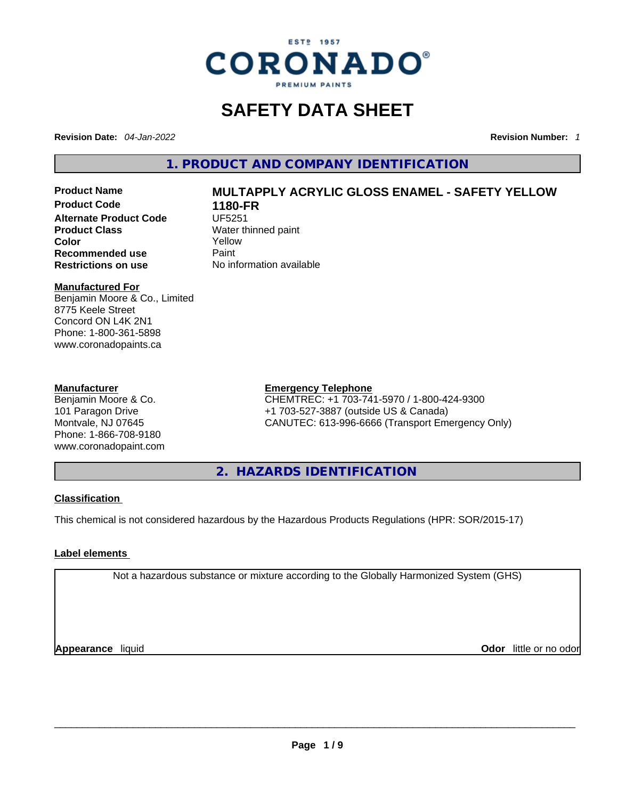

## **SAFETY DATA SHEET**

**Revision Date:** *04-Jan-2022* **Revision Number:** *1*

**1. PRODUCT AND COMPANY IDENTIFICATION** 

**Product Code 1180-FR Alternate Product Code UF5251 Product Class Water thinned paint**<br> **Color Color Recommended use Faint Paint<br>
<b>Restrictions on use** Mo information available **Restrictions** on use

# **Product Name MULTAPPLY ACRYLIC GLOSS ENAMEL - SAFETY YELLOW**

**Color** Yellow

#### **Manufactured For**

Benjamin Moore & Co., Limited 8775 Keele Street Concord ON L4K 2N1 Phone: 1-800-361-5898 www.coronadopaints.ca

#### **Manufacturer**

Benjamin Moore & Co. 101 Paragon Drive Montvale, NJ 07645 Phone: 1-866-708-9180 www.coronadopaint.com

#### **Emergency Telephone**

CHEMTREC: +1 703-741-5970 / 1-800-424-9300 +1 703-527-3887 (outside US & Canada) CANUTEC: 613-996-6666 (Transport Emergency Only)

**2. HAZARDS IDENTIFICATION** 

#### **Classification**

This chemical is not considered hazardous by the Hazardous Products Regulations (HPR: SOR/2015-17)

#### **Label elements**

Not a hazardous substance or mixture according to the Globally Harmonized System (GHS)

**Appearance** liquid **Odor** little or no odor<br> **Appearance** liquid<br> **Odor** little or no odor **Odor** little or no odor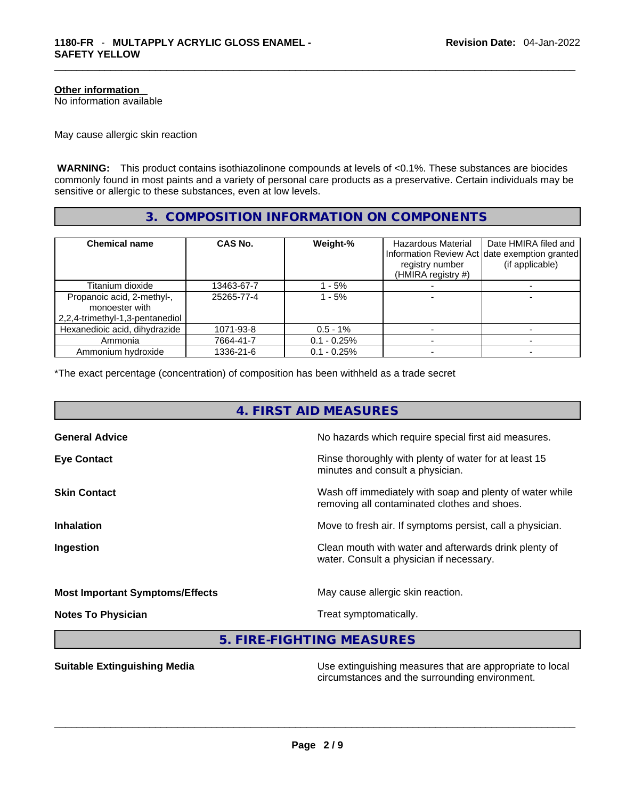#### **Other information**

No information available

May cause allergic skin reaction

 **WARNING:** This product contains isothiazolinone compounds at levels of <0.1%. These substances are biocides commonly found in most paints and a variety of personal care products as a preservative. Certain individuals may be sensitive or allergic to these substances, even at low levels.

#### **3. COMPOSITION INFORMATION ON COMPONENTS**

| <b>Chemical name</b>            | CAS No.    | Weight-%      | <b>Hazardous Material</b><br>registry number<br>(HMIRA registry $#$ ) | Date HMIRA filed and<br>Information Review Act date exemption granted<br>(if applicable) |
|---------------------------------|------------|---------------|-----------------------------------------------------------------------|------------------------------------------------------------------------------------------|
| Titanium dioxide                | 13463-67-7 | - 5%          |                                                                       |                                                                                          |
| Propanoic acid, 2-methyl-,      | 25265-77-4 | $-5%$         |                                                                       |                                                                                          |
| monoester with                  |            |               |                                                                       |                                                                                          |
| 2,2,4-trimethyl-1,3-pentanediol |            |               |                                                                       |                                                                                          |
| Hexanedioic acid, dihydrazide   | 1071-93-8  | $0.5 - 1\%$   |                                                                       |                                                                                          |
| Ammonia                         | 7664-41-7  | $0.1 - 0.25%$ |                                                                       |                                                                                          |
| Ammonium hydroxide              | 1336-21-6  | $0.1 - 0.25%$ |                                                                       |                                                                                          |

\*The exact percentage (concentration) of composition has been withheld as a trade secret

## **4. FIRST AID MEASURES**

| <b>General Advice</b>                  | No hazards which require special first aid measures.                                                     |
|----------------------------------------|----------------------------------------------------------------------------------------------------------|
| <b>Eye Contact</b>                     | Rinse thoroughly with plenty of water for at least 15<br>minutes and consult a physician.                |
| <b>Skin Contact</b>                    | Wash off immediately with soap and plenty of water while<br>removing all contaminated clothes and shoes. |
| <b>Inhalation</b>                      | Move to fresh air. If symptoms persist, call a physician.                                                |
| Ingestion                              | Clean mouth with water and afterwards drink plenty of<br>water. Consult a physician if necessary.        |
| <b>Most Important Symptoms/Effects</b> | May cause allergic skin reaction.                                                                        |
| <b>Notes To Physician</b>              | Treat symptomatically.                                                                                   |

**5. FIRE-FIGHTING MEASURES** 

**Suitable Extinguishing Media** Use extinguishing measures that are appropriate to local<br>circumstances and the surrounding environment. circumstances and the surrounding environment. \_\_\_\_\_\_\_\_\_\_\_\_\_\_\_\_\_\_\_\_\_\_\_\_\_\_\_\_\_\_\_\_\_\_\_\_\_\_\_\_\_\_\_\_\_\_\_\_\_\_\_\_\_\_\_\_\_\_\_\_\_\_\_\_\_\_\_\_\_\_\_\_\_\_\_\_\_\_\_\_\_\_\_\_\_\_\_\_\_\_\_\_\_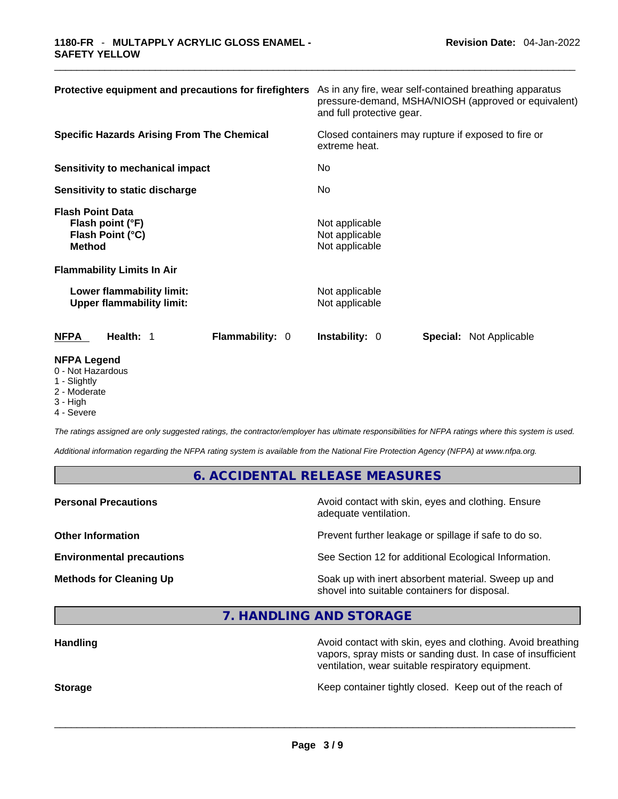| Protective equipment and precautions for firefighters                                                                 | As in any fire, wear self-contained breathing apparatus<br>pressure-demand, MSHA/NIOSH (approved or equivalent)<br>and full protective gear.<br>Closed containers may rupture if exposed to fire or<br>extreme heat. |  |  |
|-----------------------------------------------------------------------------------------------------------------------|----------------------------------------------------------------------------------------------------------------------------------------------------------------------------------------------------------------------|--|--|
| <b>Specific Hazards Arising From The Chemical</b>                                                                     |                                                                                                                                                                                                                      |  |  |
| Sensitivity to mechanical impact                                                                                      | No                                                                                                                                                                                                                   |  |  |
| Sensitivity to static discharge                                                                                       | No                                                                                                                                                                                                                   |  |  |
| <b>Flash Point Data</b><br>Flash point (°F)<br>Flash Point (°C)<br><b>Method</b><br><b>Flammability Limits In Air</b> | Not applicable<br>Not applicable<br>Not applicable                                                                                                                                                                   |  |  |
| Lower flammability limit:<br><b>Upper flammability limit:</b>                                                         | Not applicable<br>Not applicable                                                                                                                                                                                     |  |  |
| <b>NFPA</b><br>Health: 1<br><b>Flammability: 0</b>                                                                    | <b>Instability: 0</b><br><b>Special: Not Applicable</b>                                                                                                                                                              |  |  |
| <b>NFPA Legend</b><br>0 - Not Hazardous                                                                               |                                                                                                                                                                                                                      |  |  |

- 1 Slightly
- 2 Moderate
- 3 High
- 4 Severe

*The ratings assigned are only suggested ratings, the contractor/employer has ultimate responsibilities for NFPA ratings where this system is used.* 

*Additional information regarding the NFPA rating system is available from the National Fire Protection Agency (NFPA) at www.nfpa.org.* 

#### **6. ACCIDENTAL RELEASE MEASURES**

**Personal Precautions Precautions Avoid contact with skin, eyes and clothing. Ensure** adequate ventilation.

**Other Information Discription Prevent further leakage or spillage if safe to do so.** 

**Environmental precautions** See Section 12 for additional Ecological Information.

**Methods for Cleaning Up Soak up with inert absorbent material. Sweep up and** shovel into suitable containers for disposal.

**7. HANDLING AND STORAGE** 

| <b>Handling</b> | Avoid contact with skin, eyes and clothing. Avoid breathing<br>vapors, spray mists or sanding dust. In case of insufficient<br>ventilation, wear suitable respiratory equipment. |
|-----------------|----------------------------------------------------------------------------------------------------------------------------------------------------------------------------------|
| <b>Storage</b>  | Keep container tightly closed. Keep out of the reach of                                                                                                                          |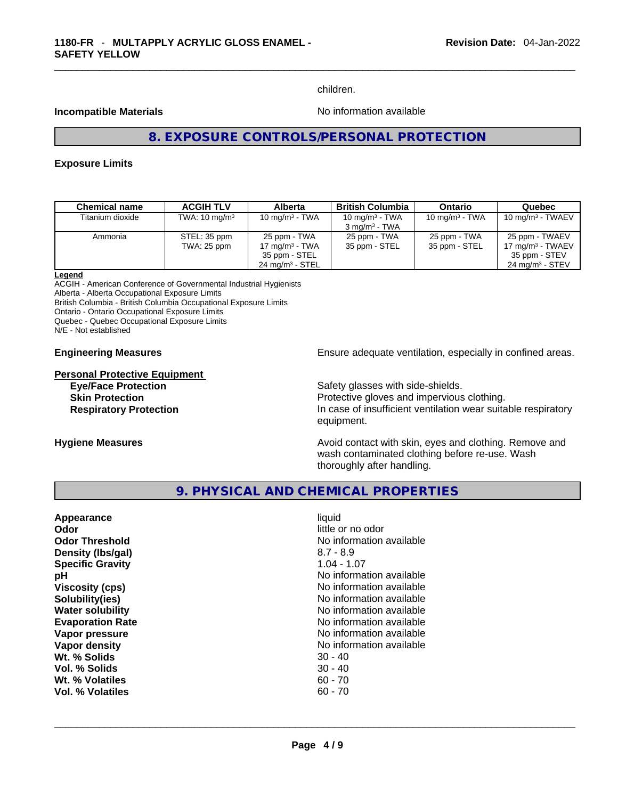children.

#### **Incompatible Materials Incompatible Materials**

#### **8. EXPOSURE CONTROLS/PERSONAL PROTECTION**

#### **Exposure Limits**

| <b>Chemical name</b> | <b>ACGIH TLV</b>         | <b>Alberta</b>             | <b>British Columbia</b>  | <b>Ontario</b>            | Quebec                     |
|----------------------|--------------------------|----------------------------|--------------------------|---------------------------|----------------------------|
| Titanium dioxide     | TWA: $10 \text{ mg/m}^3$ | 10 mg/m <sup>3</sup> - TWA | 10 mg/m $3$ - TWA        | $10 \text{ mg/m}^3$ - TWA | $10 \text{ mg/m}$ - TWAEV  |
|                      |                          |                            | $3 \text{ ma/m}^3$ - TWA |                           |                            |
| Ammonia              | STEL: 35 ppm             | 25 ppm - TWA               | 25 ppm - TWA             | 25 ppm - TWA              | 25 ppm - TWAEV             |
|                      | TWA: 25 ppm              | 17 mg/m <sup>3</sup> - TWA | 35 ppm - STEL            | 35 ppm - STEL             | 17 $mq/m3$ - TWAEV         |
|                      |                          | 35 ppm - STEL              |                          |                           | 35 ppm - STEV              |
|                      |                          | $24 \text{ mg/m}^3$ - STEL |                          |                           | $24 \text{ mg/m}^3$ - STEV |

#### **Legend**

ACGIH - American Conference of Governmental Industrial Hygienists Alberta - Alberta Occupational Exposure Limits British Columbia - British Columbia Occupational Exposure Limits Ontario - Ontario Occupational Exposure Limits Quebec - Quebec Occupational Exposure Limits N/E - Not established

**Personal Protective Equipment**

**Engineering Measures Ensure 2018** Ensure adequate ventilation, especially in confined areas.

**Eye/Face Protection Safety glasses with side-shields. Skin Protection Protection Protective gloves and impervious clothing. Respiratory Protection In case of insufficient ventilation wear suitable respiratory** equipment.

**Hygiene Measures Avoid contact with skin, eyes and clothing. Remove and Avoid contact with skin, eyes and clothing. Remove and Avoid contact with skin, eyes and clothing. Remove and** wash contaminated clothing before re-use. Wash thoroughly after handling.

#### **9. PHYSICAL AND CHEMICAL PROPERTIES**

| Appearance              | liquid                   |
|-------------------------|--------------------------|
| Odor                    | little or no odor        |
| <b>Odor Threshold</b>   | No information available |
| Density (Ibs/gal)       | $8.7 - 8.9$              |
| <b>Specific Gravity</b> | $1.04 - 1.07$            |
| рH                      | No information available |
| <b>Viscosity (cps)</b>  | No information available |
| Solubility(ies)         | No information available |
| <b>Water solubility</b> | No information available |
| <b>Evaporation Rate</b> | No information available |
| Vapor pressure          | No information available |
| Vapor density           | No information available |
| Wt. % Solids            | $30 - 40$                |
| Vol. % Solids           | $30 - 40$                |
| Wt. % Volatiles         | $60 - 70$                |
| Vol. % Volatiles        | $60 - 70$                |
|                         |                          |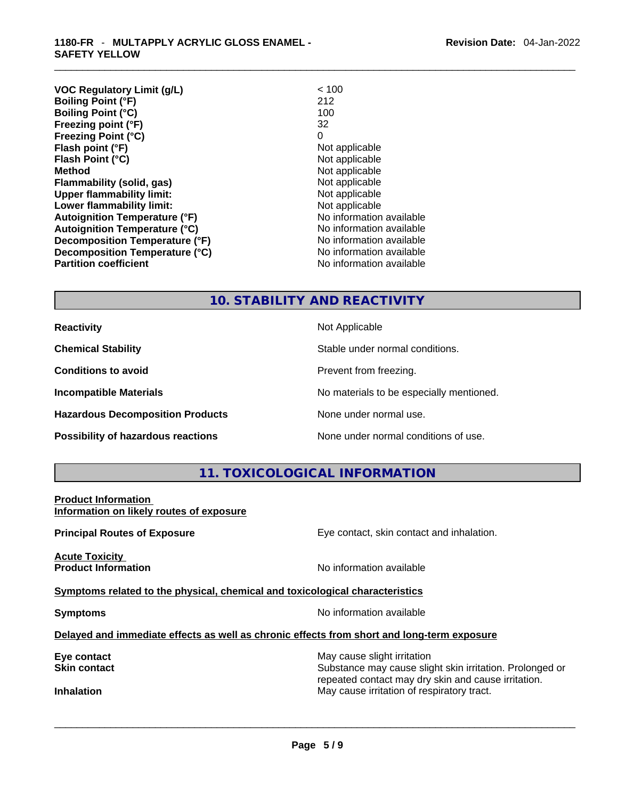| <b>VOC Regulatory Limit (g/L)</b>    | < 100                    |
|--------------------------------------|--------------------------|
| <b>Boiling Point (°F)</b>            | 212                      |
| <b>Boiling Point (°C)</b>            | 100                      |
| Freezing point (°F)                  | 32                       |
| <b>Freezing Point (°C)</b>           | 0                        |
| Flash point (°F)                     | Not applicable           |
| Flash Point (°C)                     | Not applicable           |
| <b>Method</b>                        | Not applicable           |
| Flammability (solid, gas)            | Not applicable           |
| <b>Upper flammability limit:</b>     | Not applicable           |
| Lower flammability limit:            | Not applicable           |
| <b>Autoignition Temperature (°F)</b> | No information available |
| <b>Autoignition Temperature (°C)</b> | No information available |
| Decomposition Temperature (°F)       | No information available |
| Decomposition Temperature (°C)       | No information available |
| <b>Partition coefficient</b>         | No information available |

#### **10. STABILITY AND REACTIVITY**

**Hazardous Decomposition Products** None under normal use.

**Reactivity Not Applicable Not Applicable** 

**Chemical Stability** Stable under normal conditions.

**Conditions to avoid Prevent from freezing.** 

**Incompatible Materials Materials No materials to be especially mentioned.** 

**Possibility of hazardous reactions** None under normal conditions of use.

#### **11. TOXICOLOGICAL INFORMATION**

**Product Information Information on likely routes of exposure**

**Acute Toxicity** 

**Principal Routes of Exposure Exposure** Eye contact, skin contact and inhalation.

**Product Information Information No information available** 

**Symptoms** related to the physical, chemical and toxicological characteristics

**Symptoms Symptoms No information available** 

**Delayed and immediate effects as well as chronic effects from short and long-term exposure**

**Eye contact** May cause slight irritation **Eye** contact **May cause slight irritation** 

**Skin contact Substance may cause slight skin irritation. Prolonged or** Substance may cause slight skin irritation. Prolonged or repeated contact may dry skin and cause irritation. **Inhalation** May cause irritation of respiratory tract. \_\_\_\_\_\_\_\_\_\_\_\_\_\_\_\_\_\_\_\_\_\_\_\_\_\_\_\_\_\_\_\_\_\_\_\_\_\_\_\_\_\_\_\_\_\_\_\_\_\_\_\_\_\_\_\_\_\_\_\_\_\_\_\_\_\_\_\_\_\_\_\_\_\_\_\_\_\_\_\_\_\_\_\_\_\_\_\_\_\_\_\_\_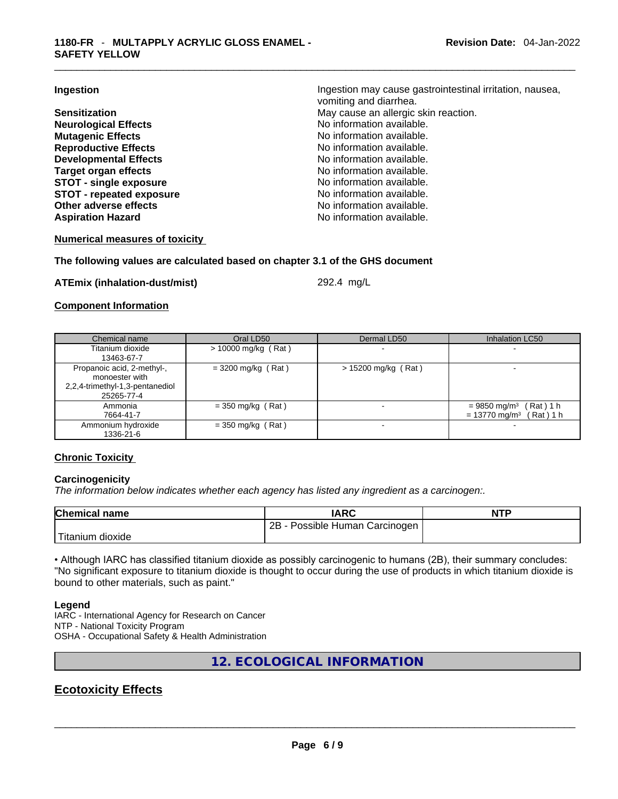**Neurological Effects** No information available. **Mutagenic Effects Mutagenic Effects No information available. Reproductive Effects No information available. Developmental Effects No information available. Target organ effects**<br> **STOT - single exposure**<br> **STOT - single exposure**<br> **No information available. STOT** - single exposure **STOT** - **repeated exposure No information available. Other adverse effects No information available.** Aspiration Hazard **Aspiration Hazard No information available.** 

**Ingestion Ingestion Ingestion may cause gastrointestinal irritation**, nausea, vomiting and diarrhea. **Sensitization May cause an allergic skin reaction.** May cause an allergic skin reaction.

#### **Numerical measures of toxicity**

#### **The following values are calculated based on chapter 3.1 of the GHS document**

**ATEmix (inhalation-dust/mist)** 292.4 mg/L

#### **Component Information**

| Chemical name                                                                                 | Oral LD50             | Dermal LD50              | <b>Inhalation LC50</b>                                                             |
|-----------------------------------------------------------------------------------------------|-----------------------|--------------------------|------------------------------------------------------------------------------------|
| Titanium dioxide                                                                              | $> 10000$ mg/kg (Rat) | $\blacksquare$           |                                                                                    |
| 13463-67-7                                                                                    |                       |                          |                                                                                    |
| Propanoic acid, 2-methyl-,<br>monoester with<br>2,2,4-trimethyl-1,3-pentanediol<br>25265-77-4 | $= 3200$ mg/kg (Rat)  | > 15200 mg/kg (Rat)      |                                                                                    |
| Ammonia<br>7664-41-7                                                                          | $=$ 350 mg/kg (Rat)   | $\,$                     | (Rat) 1 h<br>$= 9850$ mg/m <sup>3</sup><br>$= 13770$ mg/m <sup>3</sup><br>(Rat)1 h |
| Ammonium hydroxide<br>1336-21-6                                                               | $=$ 350 mg/kg (Rat)   | $\overline{\phantom{0}}$ |                                                                                    |

#### **Chronic Toxicity**

#### **Carcinogenicity**

*The information below indicates whether each agency has listed any ingredient as a carcinogen:.* 

| <b>Chemical name</b> | <b>IARC</b>                      | <b>NTP</b> |
|----------------------|----------------------------------|------------|
|                      | 2B - Possible Human Carcinogen I |            |
| 'Titanium dioxide    |                                  |            |

• Although IARC has classified titanium dioxide as possibly carcinogenic to humans (2B), their summary concludes: "No significant exposure to titanium dioxide is thought to occur during the use of products in which titanium dioxide is bound to other materials, such as paint."

#### **Legend**

IARC - International Agency for Research on Cancer NTP - National Toxicity Program OSHA - Occupational Safety & Health Administration

**12. ECOLOGICAL INFORMATION** 

## **Ecotoxicity Effects**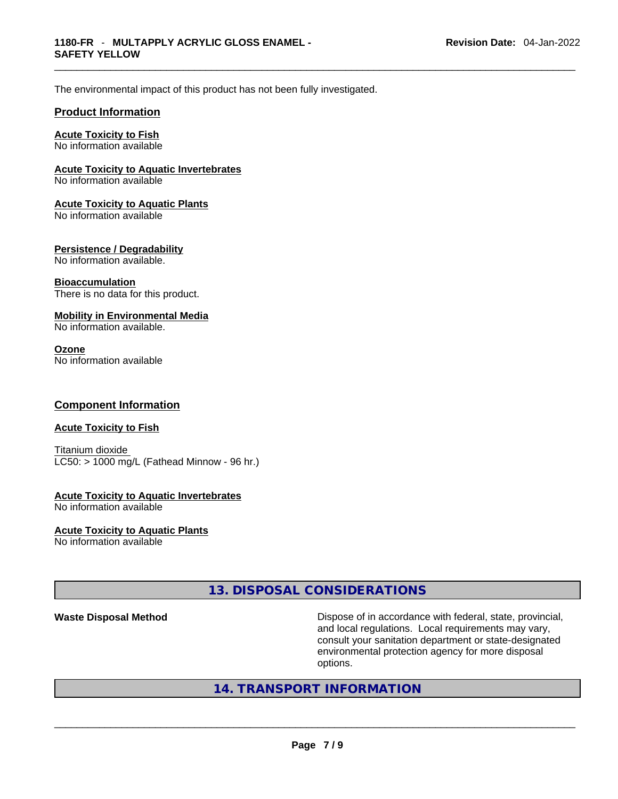The environmental impact of this product has not been fully investigated.

#### **Product Information**

#### **Acute Toxicity to Fish**

No information available

#### **Acute Toxicity to Aquatic Invertebrates**

No information available

#### **Acute Toxicity to Aquatic Plants**

No information available

#### **Persistence / Degradability**

No information available.

#### **Bioaccumulation**

There is no data for this product.

#### **Mobility in Environmental Media**

No information available.

#### **Ozone**

No information available

#### **Component Information**

#### **Acute Toxicity to Fish**

Titanium dioxide  $LC50:$  > 1000 mg/L (Fathead Minnow - 96 hr.)

## **Acute Toxicity to Aquatic Invertebrates**

No information available

#### **Acute Toxicity to Aquatic Plants**

No information available

#### **13. DISPOSAL CONSIDERATIONS**

**Waste Disposal Method** Dispose of in accordance with federal, state, provincial, and local regulations. Local requirements may vary, consult your sanitation department or state-designated environmental protection agency for more disposal

# options. \_\_\_\_\_\_\_\_\_\_\_\_\_\_\_\_\_\_\_\_\_\_\_\_\_\_\_\_\_\_\_\_\_\_\_\_\_\_\_\_\_\_\_\_\_\_\_\_\_\_\_\_\_\_\_\_\_\_\_\_\_\_\_\_\_\_\_\_\_\_\_\_\_\_\_\_\_\_\_\_\_\_\_\_\_\_\_\_\_\_\_\_\_ **14. TRANSPORT INFORMATION**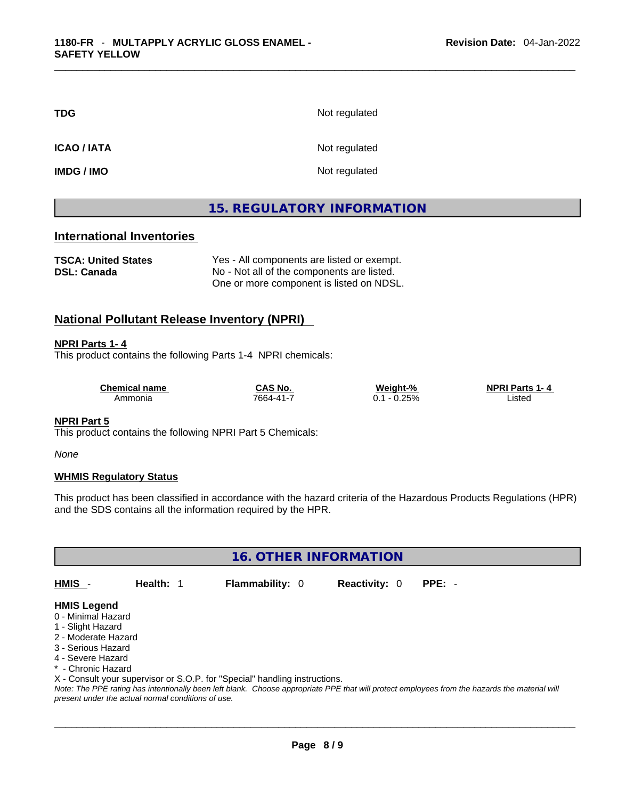| TDG         | Not regulated |
|-------------|---------------|
| ICAO / IATA | Not regulated |
| IMDG / IMO  | Not regulated |

#### **15. REGULATORY INFORMATION**

#### **International Inventories**

**TSCA: United States** Yes - All components are listed or exempt. **DSL: Canada** No - Not all of the components are listed. One or more component is listed on NDSL.

#### **National Pollutant Release Inventory (NPRI)**

#### **NPRI Parts 1- 4**

This product contains the following Parts 1-4 NPRI chemicals:

| <b>Chemical name</b> | CAS No.       | Weight-%    | <b>NPRI Parts 1</b><br>п. д |  |
|----------------------|---------------|-------------|-----------------------------|--|
| Ammonia              | $7664 - 41 -$ | 2.25%<br>v. | ∟isted<br>.                 |  |

#### **NPRI Part 5**

This product contains the following NPRI Part 5 Chemicals:

*None*

#### **WHMIS Regulatory Status**

This product has been classified in accordance with the hazard criteria of the Hazardous Products Regulations (HPR) and the SDS contains all the information required by the HPR.

**16. OTHER INFORMATION** 

**HMIS** - **Health:** 1 **Flammability:** 0 **Reactivity:** 0 **PPE:** -

#### **HMIS Legend**

- 0 Minimal Hazard
- 1 Slight Hazard
- 2 Moderate Hazard
- 3 Serious Hazard
- 4 Severe Hazard
- \* Chronic Hazard

X - Consult your supervisor or S.O.P. for "Special" handling instructions.

Note: The PPE rating has intentionally been left blank. Choose appropriate PPE that will protect employees from the hazards the material will *present under the actual normal conditions of use.*